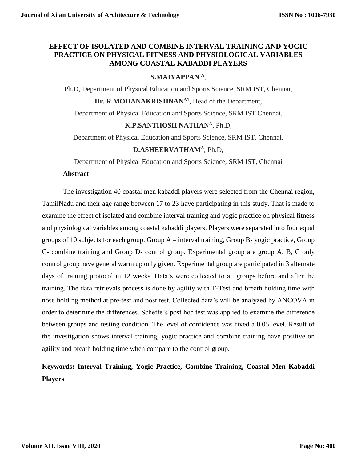# **EFFECT OF ISOLATED AND COMBINE INTERVAL TRAINING AND YOGIC PRACTICE ON PHYSICAL FITNESS AND PHYSIOLOGICAL VARIABLES AMONG COASTAL KABADDI PLAYERS**

# **S.MAIYAPPAN <sup>A</sup>**,

Ph.D, Department of Physical Education and Sports Science, SRM IST, Chennai,

**Dr. R MOHANAKRISHNANA1**, Head of the Department,

Department of Physical Education and Sports Science, SRM IST Chennai,

## **K.P.SANTHOSH NATHAN<sup>A</sup>**, Ph.D,

Department of Physical Education and Sports Science, SRM IST, Chennai,

# **D.ASHEERVATHAM<sup>A</sup>**, Ph.D,

Department of Physical Education and Sports Science, SRM IST, Chennai

#### **Abstract**

The investigation 40 coastal men kabaddi players were selected from the Chennai region, TamilNadu and their age range between 17 to 23 have participating in this study. That is made to examine the effect of isolated and combine interval training and yogic practice on physical fitness and physiological variables among coastal kabaddi players. Players were separated into four equal groups of 10 subjects for each group. Group A – interval training, Group B- yogic practice, Group C- combine training and Group D- control group. Experimental group are group A, B, C only control group have general warm up only given. Experimental group are participated in 3 alternate days of training protocol in 12 weeks. Data's were collected to all groups before and after the training. The data retrievals process is done by agility with T-Test and breath holding time with nose holding method at pre-test and post test. Collected data's will be analyzed by ANCOVA in order to determine the differences. Scheffe's post hoc test was applied to examine the difference between groups and testing condition. The level of confidence was fixed a 0.05 level. Result of the investigation shows interval training, yogic practice and combine training have positive on agility and breath holding time when compare to the control group.

# **Keywords: Interval Training, Yogic Practice, Combine Training, Coastal Men Kabaddi Players**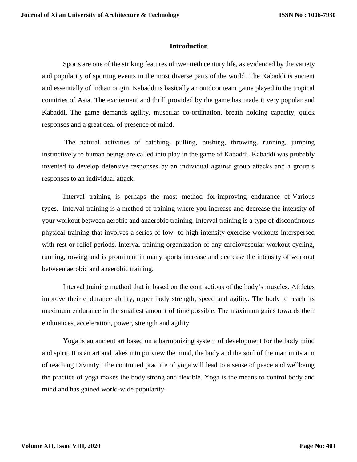#### **Introduction**

Sports are one of the striking features of twentieth century life, as evidenced by the variety and popularity of sporting events in the most diverse parts of the world. The Kabaddi is ancient and essentially of Indian origin. Kabaddi is basically an outdoor team game played in the tropical countries of Asia. The excitement and thrill provided by the game has made it very popular and Kabaddi. The game demands agility, muscular co-ordination, breath holding capacity, quick responses and a great deal of presence of mind.

The natural activities of catching, pulling, pushing, throwing, running, jumping instinctively to human beings are called into play in the game of Kabaddi. Kabaddi was probably invented to develop defensive responses by an individual against group attacks and a group's responses to an individual attack.

Interval training is perhaps the most method for improving endurance of Various types. Interval training is a method of training where you increase and decrease the intensity of your workout between aerobic and anaerobic training. Interval training is a type of discontinuous physical training that involves a series of low- to high-intensity exercise workouts interspersed with rest or relief periods. Interval training organization of any cardiovascular workout cycling, running, rowing and is prominent in many sports increase and decrease the intensity of workout between aerobic and anaerobic training.

Interval training method that in based on the contractions of the body's muscles. Athletes improve their endurance ability, upper body strength, speed and agility. The body to reach its maximum endurance in the smallest amount of time possible. The maximum gains towards their endurances, acceleration, power, strength and agility

Yoga is an ancient art based on a harmonizing system of development for the body mind and spirit. It is an art and takes into purview the mind, the body and the soul of the man in its aim of reaching Divinity. The continued practice of yoga will lead to a sense of peace and wellbeing the practice of yoga makes the body strong and flexible. Yoga is the means to control body and mind and has gained world-wide popularity.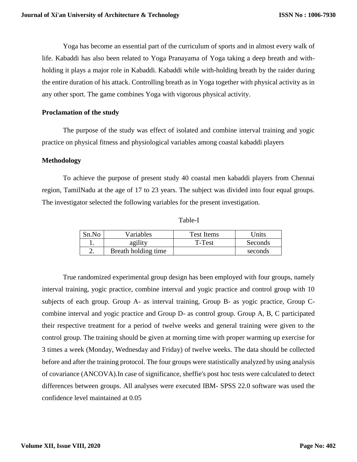Yoga has become an essential part of the curriculum of sports and in almost every walk of life. Kabaddi has also been related to Yoga Pranayama of Yoga taking a deep breath and withholding it plays a major role in Kabaddi. Kabaddi while with-holding breath by the raider during the entire duration of his attack. Controlling breath as in Yoga together with physical activity as in any other sport. The game combines Yoga with vigorous physical activity.

## **Proclamation of the study**

The purpose of the study was effect of isolated and combine interval training and yogic practice on physical fitness and physiological variables among coastal kabaddi players

## **Methodology**

To achieve the purpose of present study 40 coastal men kabaddi players from Chennai region, TamilNadu at the age of 17 to 23 years. The subject was divided into four equal groups. The investigator selected the following variables for the present investigation.

Table-I

| Sn.No | Variables           | Test Items | <b>Jnits</b> |
|-------|---------------------|------------|--------------|
|       | agility             | T-Test     | Seconds      |
| ـ.    | Breath holding time |            | seconds      |

True randomized experimental group design has been employed with four groups, namely interval training, yogic practice, combine interval and yogic practice and control group with 10 subjects of each group. Group A- as interval training, Group B- as yogic practice, Group Ccombine interval and yogic practice and Group D- as control group. Group A, B, C participated their respective treatment for a period of twelve weeks and general training were given to the control group. The training should be given at morning time with proper warming up exercise for 3 times a week (Monday, Wednesday and Friday) of twelve weeks. The data should be collected before and after the training protocol. The four groups were statistically analyzed by using analysis of covariance (ANCOVA).In case of significance, sheffie's post hoc tests were calculated to detect differences between groups. All analyses were executed IBM- SPSS 22.0 software was used the confidence level maintained at 0.05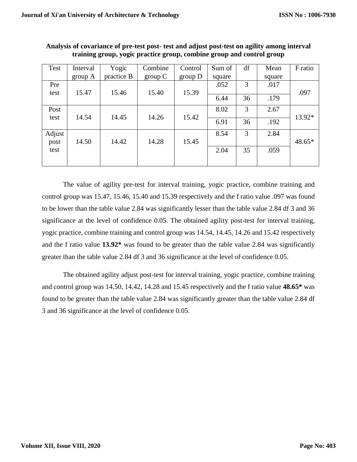| Test   | Interval | Yogic      | Combine | Control | Sum of | df | Mean   | F ratio |
|--------|----------|------------|---------|---------|--------|----|--------|---------|
|        | group A  | practice B | group C | group D | square |    | square |         |
| Pre    |          |            |         |         | .052   | 3  | .017   |         |
| test   | 15.47    | 15.46      | 15.40   | 15.39   |        |    |        | .097    |
|        |          |            |         |         | 6.44   | 36 | .179   |         |
| Post   |          |            |         |         | 8.02   | 3  | 2.67   |         |
| test   | 14.54    | 14.45      | 14.26   | 15.42   |        |    |        | 13.92*  |
|        |          |            |         |         | 6.91   | 36 | .192   |         |
| Adjust |          |            |         |         | 8.54   | 3  | 2.84   |         |
| post   | 14.50    | 14.42      | 14.28   | 15.45   |        |    |        | 48.65*  |
| test   |          |            |         |         | 2.04   | 35 | .059   |         |
|        |          |            |         |         |        |    |        |         |

**Analysis of covariance of pre-test post- test and adjust post-test on agility among interval training group, yogic practice group, combine group and control group**

The value of agility pre-test for interval training, yogic practice, combine training and control group was 15.47, 15.46, 15.40 and 15.39 respectively and the f ratio value .097 was found to be lower than the table value 2.84 was significantly lesser than the table value 2.84 df 3 and 36 significance at the level of confidence 0.05. The obtained agility post-test for interval training, yogic practice, combine training and control group was 14.54, 14.45, 14.26 and 15.42 respectively and the f ratio value **13.92\*** was found to be greater than the table value 2.84 was significantly greater than the table value 2.84 df 3 and 36 significance at the level of confidence 0.05.

The obtained agility adjust post-test for interval training, yogic practice, combine training and control group was 14.50, 14.42, 14.28 and 15.45 respectively and the f ratio value **48.65\*** was found to be greater than the table value 2.84 was significantly greater than the table value 2.84 df 3 and 36 significance at the level of confidence 0.05.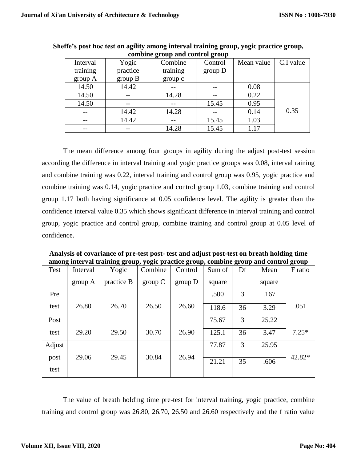| Interval | Yogic    | Combine  | Control | Mean value | C.I value |
|----------|----------|----------|---------|------------|-----------|
| training | practice | training | group D |            |           |
| group A  | group B  | group c  |         |            |           |
| 14.50    | 14.42    |          |         | 0.08       |           |
| 14.50    | --       | 14.28    |         | 0.22       |           |
| 14.50    |          |          | 15.45   | 0.95       |           |
|          | 14.42    | 14.28    |         | 0.14       | 0.35      |
|          | 14.42    |          | 15.45   | 1.03       |           |
|          | --       | 14.28    | 15.45   | 1.17       |           |

**Sheffe's post hoc test on agility among interval training group, yogic practice group, combine group and control group**

The mean difference among four groups in agility during the adjust post-test session according the difference in interval training and yogic practice groups was 0.08, interval raining and combine training was 0.22, interval training and control group was 0.95, yogic practice and combine training was 0.14, yogic practice and control group 1.03, combine training and control group 1.17 both having significance at 0.05 confidence level. The agility is greater than the confidence interval value 0.35 which shows significant difference in interval training and control group, yogic practice and control group, combine training and control group at 0.05 level of confidence.

| among mterval trammig group, yogic practice group, combine group and control group |          |            |         |         |        |    |        |         |
|------------------------------------------------------------------------------------|----------|------------|---------|---------|--------|----|--------|---------|
| Test                                                                               | Interval | Yogic      | Combine | Control | Sum of | Df | Mean   | F ratio |
|                                                                                    | group A  | practice B | group C | group D | square |    | square |         |
| Pre                                                                                |          |            |         |         | .500   | 3  | .167   |         |
| test                                                                               | 26.80    | 26.70      | 26.50   | 26.60   | 118.6  | 36 | 3.29   | .051    |
| Post                                                                               |          |            |         |         | 75.67  | 3  | 25.22  |         |
| test                                                                               | 29.20    | 29.50      | 30.70   | 26.90   | 125.1  | 36 | 3.47   | $7.25*$ |
| Adjust                                                                             |          |            |         |         | 77.87  | 3  | 25.95  |         |
| post<br>test                                                                       | 29.06    | 29.45      | 30.84   | 26.94   | 21.21  | 35 | .606   | 42.82*  |
|                                                                                    |          |            |         |         |        |    |        |         |

**Analysis of covariance of pre-test post- test and adjust post-test on breath holding time among interval training group, yogic practice group, combine group and control group**

The value of breath holding time pre-test for interval training, yogic practice, combine training and control group was 26.80, 26.70, 26.50 and 26.60 respectively and the f ratio value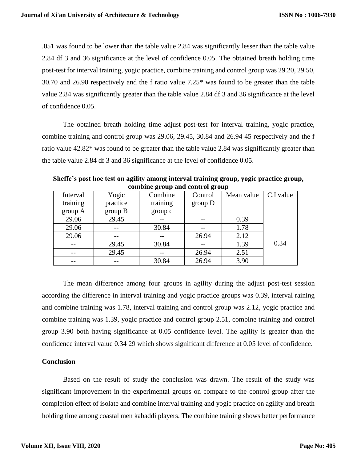.051 was found to be lower than the table value 2.84 was significantly lesser than the table value 2.84 df 3 and 36 significance at the level of confidence 0.05. The obtained breath holding time post-test for interval training, yogic practice, combine training and control group was 29.20, 29.50, 30.70 and 26.90 respectively and the f ratio value 7.25\* was found to be greater than the table value 2.84 was significantly greater than the table value 2.84 df 3 and 36 significance at the level of confidence 0.05.

The obtained breath holding time adjust post-test for interval training, yogic practice, combine training and control group was 29.06, 29.45, 30.84 and 26.94 45 respectively and the f ratio value 42.82\* was found to be greater than the table value 2.84 was significantly greater than the table value 2.84 df 3 and 36 significance at the level of confidence 0.05.

| comome group and control group |          |          |         |            |           |  |  |
|--------------------------------|----------|----------|---------|------------|-----------|--|--|
| Interval                       | Yogic    | Combine  | Control | Mean value | C.I value |  |  |
| training                       | practice | training | group D |            |           |  |  |
| group A                        | group B  | group c  |         |            |           |  |  |
| 29.06                          | 29.45    |          |         | 0.39       |           |  |  |
| 29.06                          |          | 30.84    |         | 1.78       |           |  |  |
| 29.06                          |          |          | 26.94   | 2.12       |           |  |  |
| $- -$                          | 29.45    | 30.84    |         | 1.39       | 0.34      |  |  |
| $---$                          | 29.45    |          | 26.94   | 2.51       |           |  |  |
| --                             |          | 30.84    | 26.94   | 3.90       |           |  |  |

**Sheffe's post hoc test on agility among interval training group, yogic practice group, combine group and control group**

The mean difference among four groups in agility during the adjust post-test session according the difference in interval training and yogic practice groups was 0.39, interval raining and combine training was 1.78, interval training and control group was 2.12, yogic practice and combine training was 1.39, yogic practice and control group 2.51, combine training and control group 3.90 both having significance at 0.05 confidence level. The agility is greater than the confidence interval value 0.34 29 which shows significant difference at 0.05 level of confidence.

## **Conclusion**

Based on the result of study the conclusion was drawn. The result of the study was significant improvement in the experimental groups on compare to the control group after the completion effect of isolate and combine interval training and yogic practice on agility and breath holding time among coastal men kabaddi players. The combine training shows better performance